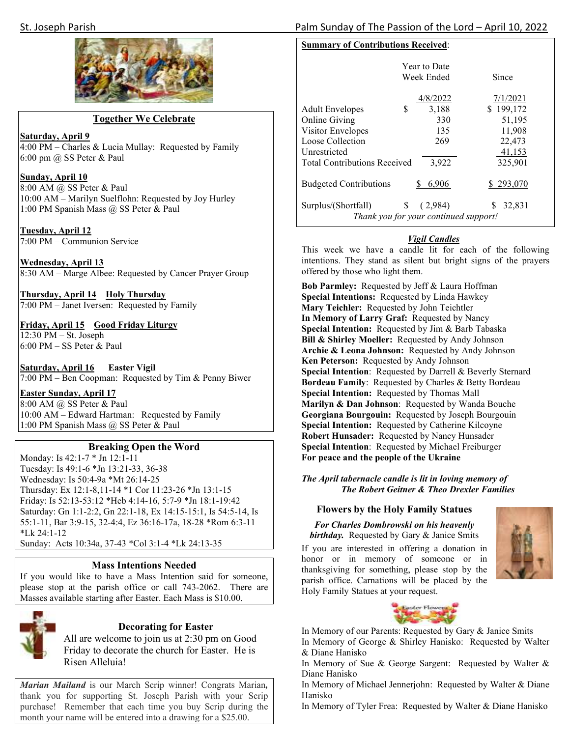

#### **Together We Celebrate**

**Saturday, April 9** 

4:00 PM – Charles & Lucia Mullay: Requested by Family 6:00 pm @ SS Peter & Paul

#### **Sunday, April 10**

8:00 AM @ SS Peter & Paul 10:00 AM – Marilyn Suelflohn: Requested by Joy Hurley 1:00 PM Spanish Mass @ SS Peter & Paul

**Tuesday, April 12**  7:00 PM – Communion Service

**Wednesday, April 13**  8:30 AM – Marge Albee: Requested by Cancer Prayer Group

**Thursday, April 14 Holy Thursday**  7:00 PM – Janet Iversen: Requested by Family

**Friday, April 15 Good Friday Liturgy**  12:30 PM – St. Joseph 6:00 PM – SS Peter & Paul

**Saturday, April 16 Easter Vigil**  7:00 PM – Ben Coopman: Requested by Tim & Penny Biwer

**Easter Sunday, April 17**  8:00 AM @ SS Peter & Paul 10:00 AM – Edward Hartman: Requested by Family 1:00 PM Spanish Mass @ SS Peter & Paul

#### **Breaking Open the Word**

Monday: Is 42:1-7 \* Jn 12:1-11 Tuesday: Is 49:1-6 \*Jn 13:21-33, 36-38 Wednesday: Is 50:4-9a \*Mt 26:14-25 Thursday: Ex 12:1-8,11-14 \*1 Cor 11:23-26 \*Jn 13:1-15 Friday: Is 52:13-53:12 \*Heb 4:14-16, 5:7-9 \*Jn 18:1-19:42 Saturday: Gn 1:1-2:2, Gn 22:1-18, Ex 14:15-15:1, Is 54:5-14, Is 55:1-11, Bar 3:9-15, 32-4:4, Ez 36:16-17a, 18-28 \*Rom 6:3-11 \*Lk 24:1-12

Sunday: Acts 10:34a, 37-43 \*Col 3:1-4 \*Lk 24:13-35

#### **Mass Intentions Needed**

If you would like to have a Mass Intention said for someone, please stop at the parish office or call 743-2062. There are Masses available starting after Easter. Each Mass is \$10.00.



#### **Decorating for Easter**

All are welcome to join us at 2:30 pm on Good Friday to decorate the church for Easter. He is Risen Alleluia!

*Marian Mailand* is our March Scrip winner! Congrats Marian*,* thank you for supporting St. Joseph Parish with your Scrip purchase! Remember that each time you buy Scrip during the month your name will be entered into a drawing for a \$25.00.

# St. Joseph Parish Palm Sunday of The Passion of the Lord – April 10, 2022

## **Summary of Contributions Received**:

|                                                                    | <b>Year to Date</b><br>Week Ended | Since     |
|--------------------------------------------------------------------|-----------------------------------|-----------|
|                                                                    | 4/8/2022                          | 7/1/2021  |
| \$<br><b>Adult Envelopes</b>                                       | 3,188                             | \$199,172 |
| Online Giving                                                      | 330                               | 51,195    |
| Visitor Envelopes                                                  | 135                               | 11,908    |
| Loose Collection                                                   | 269                               | 22,473    |
| Unrestricted                                                       |                                   | 41,153    |
| <b>Total Contributions Received</b>                                | 3,922                             | 325,901   |
| <b>Budgeted Contributions</b>                                      | 6,906                             | \$293,070 |
| \$<br>Surplus/(Shortfall)<br>Thank you for your continued support! | (2,984)                           | 32,831    |

### *Vigil Candles*

This week we have a candle lit for each of the following intentions. They stand as silent but bright signs of the prayers offered by those who light them.

**Bob Parmley:** Requested by Jeff & Laura Hoffman **Special Intentions:** Requested by Linda Hawkey **Mary Teichler:** Requested by John Teichtler **In Memory of Larry Graf:** Requested by Nancy **Special Intention:** Requested by Jim & Barb Tabaska **Bill & Shirley Moeller:** Requested by Andy Johnson **Archie & Leona Johnson:** Requested by Andy Johnson **Ken Peterson:** Requested by Andy Johnson **Special Intention**: Requested by Darrell & Beverly Sternard **Bordeau Family**: Requested by Charles & Betty Bordeau **Special Intention:** Requested by Thomas Mall **Marilyn & Dan Johnson**: Requested by Wanda Bouche **Georgiana Bourgouin:** Requested by Joseph Bourgouin **Special Intention:** Requested by Catherine Kilcoyne **Robert Hunsader:** Requested by Nancy Hunsader **Special Intention**: Requested by Michael Freiburger **For peace and the people of the Ukraine** 

*The April tabernacle candle is lit in loving memory of The Robert Geitner & Theo Drexler Families* 

#### **Flowers by the Holy Family Statues**

# *For Charles Dombrowski on his heavenly*

*birthday.* Requested by Gary & Janice Smits If you are interested in offering a donation in honor or in memory of someone or in thanksgiving for something, please stop by the parish office. Carnations will be placed by the Holy Family Statues at your request.





In Memory of our Parents: Requested by Gary & Janice Smits

In Memory of George & Shirley Hanisko: Requested by Walter & Diane Hanisko

In Memory of Sue & George Sargent: Requested by Walter & Diane Hanisko

In Memory of Michael Jennerjohn: Requested by Walter & Diane Hanisko

In Memory of Tyler Frea: Requested by Walter & Diane Hanisko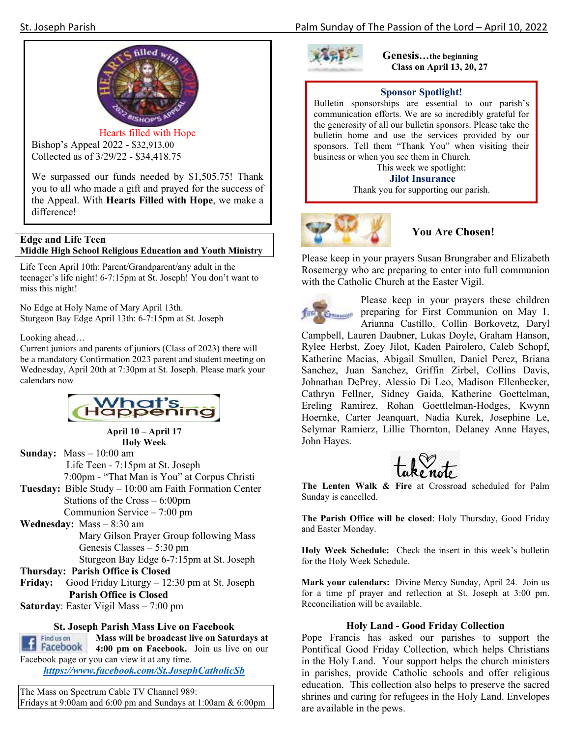

Hearts filled with Hope Bishop's Appeal 2022 - \$32,913.00 Collected as of 3/29/22 - \$34,418.75

We surpassed our funds needed by \$1,505.75! Thank you to all who made a gift and prayed for the success of the Appeal. With **Hearts Filled with Hope**, we make a difference!

## **Edge and Life Teen Middle High School Religious Education and Youth Ministry**

Life Teen April 10th: Parent/Grandparent/any adult in the teenager's life night! 6-7:15pm at St. Joseph! You don't want to miss this night!

No Edge at Holy Name of Mary April 13th. Sturgeon Bay Edge April 13th: 6-7:15pm at St. Joseph

Looking ahead…

Current juniors and parents of juniors (Class of 2023) there will be a mandatory Confirmation 2023 parent and student meeting on Wednesday, April 20th at 7:30pm at St. Joseph. Please mark your calendars now



**April 10 – April 17 Holy Week** 

**Sunday:** Mass – 10:00 am Life Teen - 7:15pm at St. Joseph 7:00pm - "That Man is You" at Corpus Christi **Tuesday:** Bible Study – 10:00 am Faith Formation Center Stations of the Cross – 6:00pm

Communion Service – 7:00 pm

**Wednesday:** Mass – 8:30 am Mary Gilson Prayer Group following Mass Genesis Classes – 5:30 pm

Sturgeon Bay Edge 6-7:15pm at St. Joseph

**Thursday: Parish Office is Closed** 

**Friday:** Good Friday Liturgy – 12:30 pm at St. Joseph **Parish Office is Closed** 

**Saturday**: Easter Vigil Mass – 7:00 pm

#### **St. Joseph Parish Mass Live on Facebook**

Find us on **Mass will be broadcast live on Saturdays at Example 1988 Facebook 4:00** pm on Facebook.<br>Facebook page or you can view it at any time. **4:00 pm on Facebook.** Join us live on our

*https://www.facebook.com/St.JosephCatholicSb* 

The Mass on Spectrum Cable TV Channel 989: Fridays at 9:00am and 6:00 pm and Sundays at 1:00am & 6:00pm



**Genesis…the beginning Class on April 13, 20, 27** 

### **Sponsor Spotlight!**

Bulletin sponsorships are essential to our parish's communication efforts. We are so incredibly grateful for the generosity of all our bulletin sponsors. Please take the bulletin home and use the services provided by our sponsors. Tell them "Thank You" when visiting their business or when you see them in Church. This week we spotlight:

**Jilot Insurance** 

Thank you for supporting our parish.



## **You Are Chosen!**

Please keep in your prayers Susan Brungraber and Elizabeth Rosemergy who are preparing to enter into full communion with the Catholic Church at the Easter Vigil.



Please keep in your prayers these children preparing for First Communion on May 1.

Arianna Castillo, Collin Borkovetz, Daryl Campbell, Lauren Daubner, Lukas Doyle, Graham Hanson, Rylee Herbst, Zoey Jilot, Kaden Pairolero, Caleb Schopf, Katherine Macias, Abigail Smullen, Daniel Perez, Briana Sanchez, Juan Sanchez, Griffin Zirbel, Collins Davis, Johnathan DePrey, Alessio Di Leo, Madison Ellenbecker, Cathryn Fellner, Sidney Gaida, Katherine Goettelman, Ereling Ramirez, Rohan Goettlelman-Hodges, Kwynn Hoernke, Carter Jeanquart, Nadia Kurek, Josephine Le, Selymar Ramierz, Lillie Thornton, Delaney Anne Hayes, John Hayes.



**The Lenten Walk & Fire** at Crossroad scheduled for Palm Sunday is cancelled.

**The Parish Office will be closed**: Holy Thursday, Good Friday and Easter Monday.

**Holy Week Schedule:** Check the insert in this week's bulletin for the Holy Week Schedule.

**Mark your calendars:** Divine Mercy Sunday, April 24. Join us for a time pf prayer and reflection at St. Joseph at 3:00 pm. Reconciliation will be available.

#### **Holy Land - Good Friday Collection**

Pope Francis has asked our parishes to support the Pontifical Good Friday Collection, which helps Christians in the Holy Land. Your support helps the church ministers in parishes, provide Catholic schools and offer religious education. This collection also helps to preserve the sacred shrines and caring for refugees in the Holy Land. Envelopes are available in the pews.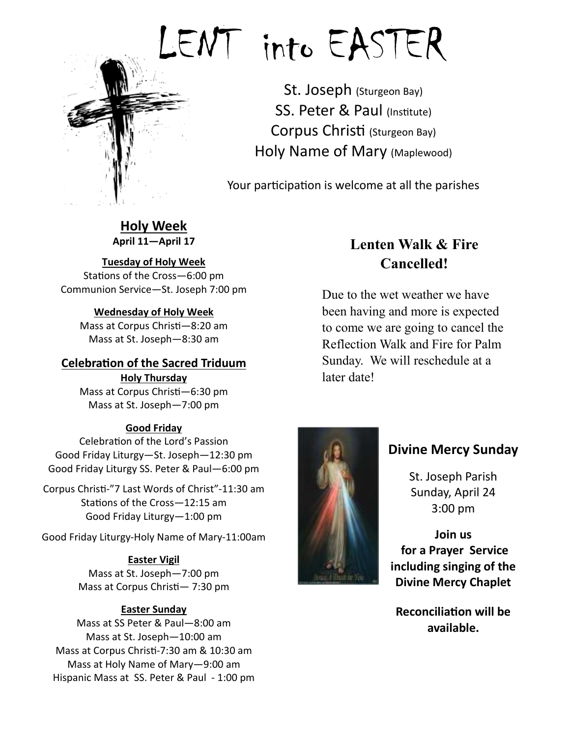

# LENT into EASTER

St. Joseph (Sturgeon Bay) SS. Peter & Paul (Institute) Corpus Christi (Sturgeon Bay) Holy Name of Mary (Maplewood)

Your participation is welcome at all the parishes

**Holy Week April 11—April 17** 

# **Tuesday of Holy Week**

Stations of the Cross-6:00 pm Communion Service—St. Joseph 7:00 pm

# **Wednesday of Holy Week**

Mass at Corpus Christi-8:20 am Mass at St. Joseph—8:30 am

# **Celebration of the Sacred Triduum**

**Holy Thursday**  Mass at Corpus Christi-6:30 pm Mass at St. Joseph—7:00 pm

# **Good Friday**

Celebration of the Lord's Passion Good Friday Liturgy—St. Joseph—12:30 pm Good Friday Liturgy SS. Peter & Paul—6:00 pm

Corpus Christi-"7 Last Words of Christ"-11:30 am Stations of the Cross-12:15 am Good Friday Liturgy—1:00 pm

Good Friday Liturgy-Holy Name of Mary-11:00am

# **Easter Vigil**

Mass at St. Joseph—7:00 pm Mass at Corpus Christi-7:30 pm

# **Easter Sunday**

Mass at SS Peter & Paul—8:00 am Mass at St. Joseph—10:00 am Mass at Corpus Christi-7:30 am & 10:30 am Mass at Holy Name of Mary—9:00 am Hispanic Mass at SS. Peter & Paul - 1:00 pm

# **Lenten Walk & Fire Cancelled!**

Due to the wet weather we have been having and more is expected to come we are going to cancel the Reflection Walk and Fire for Palm Sunday. We will reschedule at a later date!



# **Divine Mercy Sunday**

St. Joseph Parish Sunday, April 24 3:00 pm

**Join us for a Prayer Service including singing of the Divine Mercy Chaplet** 

**Reconciliation will be available.**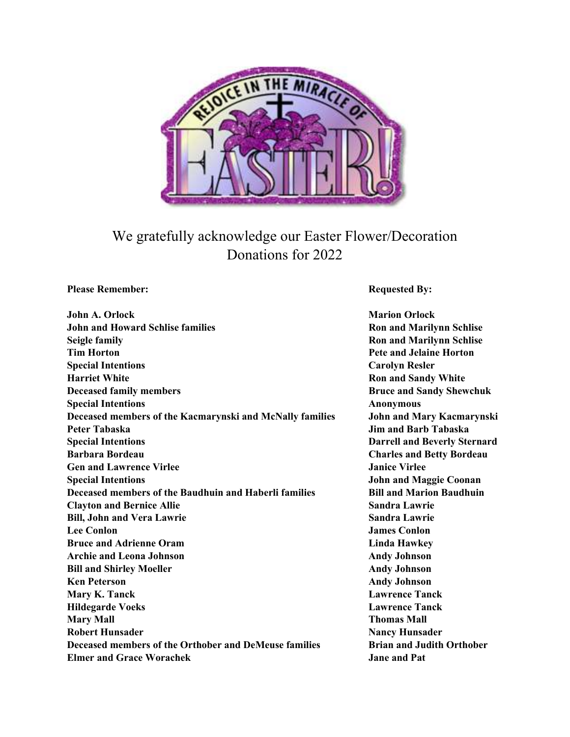

# We gratefully acknowledge our Easter Flower/Decoration Donations for 2022

**Please Remember: Requested By: Requested By:** *Requested By:* 

| <b>John A. Orlock</b>                                    |
|----------------------------------------------------------|
| <b>John and Howard Schlise families</b>                  |
| <b>Seigle family</b>                                     |
| <b>Tim Horton</b>                                        |
| <b>Special Intentions</b>                                |
| <b>Harriet White</b>                                     |
| <b>Deceased family members</b>                           |
| <b>Special Intentions</b>                                |
| Deceased members of the Kacmarynski and McNally families |
| Peter Tabaska                                            |
| <b>Special Intentions</b>                                |
| <b>Barbara Bordeau</b>                                   |
| <b>Gen and Lawrence Virlee</b>                           |
| <b>Special Intentions</b>                                |
| Deceased members of the Baudhuin and Haberli families    |
| <b>Clayton and Bernice Allie</b>                         |
| <b>Bill, John and Vera Lawrie</b>                        |
| <b>Lee Conlon</b>                                        |
| <b>Bruce and Adrienne Oram</b>                           |
| <b>Archie and Leona Johnson</b>                          |
| <b>Bill and Shirley Moeller</b>                          |
| <b>Ken Peterson</b>                                      |
| Mary K. Tanck                                            |
| <b>Hildegarde Voeks</b>                                  |
| <b>Mary Mall</b>                                         |
| <b>Robert Hunsader</b>                                   |
| Deceased members of the Orthober and DeMeuse families    |
| <b>Elmer and Grace Worachek</b>                          |

**Marion Orlock Ron and Marilynn Schlise Ron and Marilynn Schlise Pete and Jelaine Horton Carolyn Resler Ron and Sandy White Bruce and Sandy Shewchuk Anonymous John and Mary Kacmarynski Jim and Barb Tabaska Darrell and Beverly Sternard Barbara Bordeau Charles and Betty Bordeau Janice Virlee John and Maggie Coonan Bill and Marion Baudhuin Sandra Lawrie Sandra Lawrie James Conlon Linda Hawkey Andy Johnson Andy Johnson Andy Johnson Lawrence Tanck Lawrence Tanck Thomas Mall Nancy Hunsader Brian and Judith Orthober Jane and Pat**